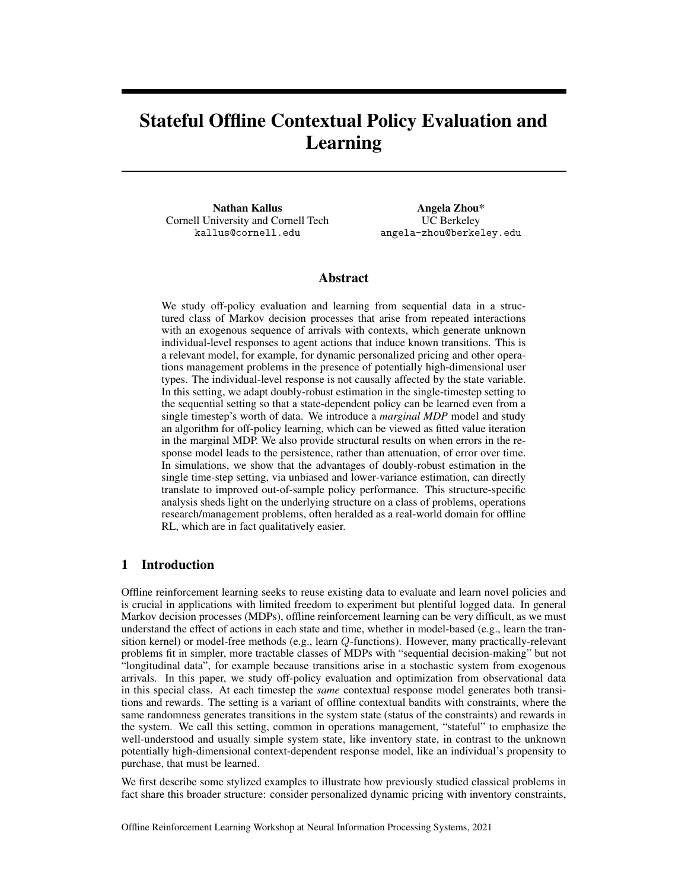# <span id="page-0-33"></span><span id="page-0-25"></span><span id="page-0-23"></span><span id="page-0-3"></span><span id="page-0-2"></span><span id="page-0-1"></span>Stateful Offline Contextual Policy Evaluation and Learning

<span id="page-0-44"></span><span id="page-0-41"></span><span id="page-0-34"></span><span id="page-0-19"></span><span id="page-0-14"></span><span id="page-0-10"></span><span id="page-0-7"></span><span id="page-0-5"></span>Nathan Kallus Cornell University and Cornell Tech kallus@cornell.edu

Angela Zhou\* UC Berkeley angela-zhou@berkeley.edu

#### Abstract

<span id="page-0-43"></span><span id="page-0-42"></span><span id="page-0-40"></span><span id="page-0-39"></span><span id="page-0-38"></span><span id="page-0-28"></span><span id="page-0-22"></span><span id="page-0-4"></span>We study off-policy evaluation and learning from sequential data in a structured class of Markov decision processes that arise from repeated interactions with an exogenous sequence of arrivals with contexts, which generate unknown individual-level responses to agent actions that induce known transitions. This is a relevant model, for example, for dynamic personalized pricing and other operations management problems in the presence of potentially high-dimensional user types. The individual-level response is not causally affected by the state variable. In this setting, we adapt doubly-robust estimation in the single-timestep setting to the sequential setting so that a state-dependent policy can be learned even from a single timestep's worth of data. We introduce a *marginal MDP* model and study an algorithm for off-policy learning, which can be viewed as fitted value iteration in the marginal MDP. We also provide structural results on when errors in the response model leads to the persistence, rather than attenuation, of error over time. In simulations, we show that the advantages of doubly-robust estimation in the single time-step setting, via unbiased and lower-variance estimation, can directly translate to improved out-of-sample policy performance. This structure-specific analysis sheds light on the underlying structure on a class of problems, operations research/management problems, often heralded as a real-world domain for offline RL, which are in fact qualitatively easier.

#### <span id="page-0-47"></span><span id="page-0-31"></span><span id="page-0-20"></span><span id="page-0-17"></span><span id="page-0-15"></span><span id="page-0-9"></span><span id="page-0-6"></span>1 Introduction

<span id="page-0-50"></span><span id="page-0-36"></span><span id="page-0-30"></span><span id="page-0-29"></span><span id="page-0-18"></span><span id="page-0-13"></span><span id="page-0-11"></span><span id="page-0-0"></span>Offline reinforcement learning seeks to reuse existing data to evaluate and learn novel policies and is crucial in applications with limited freedom to experiment but plentiful logged data. In general Markov decision processes (MDPs), offline reinforcement learning can be very difficult, as we must understand the effect of actions in each state and time, whether in model-based (e.g., learn the transition kernel) or model-free methods (e.g., learn *Q*-functions). However, many practically-relevant problems fit in simpler, more tractable classes of MDPs with "sequential decision-making" but not "longitudinal data", for example because transitions arise in a stochastic system from exogenous arrivals. In this paper, we study off-policy evaluation and optimization from observational data in this special class. At each timestep the *same* contextual response model generates both transitions and rewards. The setting is a variant of offline contextual bandits with constraints, where the same randomness generates transitions in the system state (status of the constraints) and rewards in the system. We call this setting, common in operations management, "stateful" to emphasize the well-understood and usually simple system state, like inventory state, in contrast to the unknown potentially high-dimensional context-dependent response model, like an individual's propensity to purchase, that must be learned.

<span id="page-0-49"></span><span id="page-0-48"></span><span id="page-0-45"></span><span id="page-0-37"></span><span id="page-0-35"></span><span id="page-0-32"></span><span id="page-0-26"></span><span id="page-0-24"></span><span id="page-0-21"></span><span id="page-0-16"></span><span id="page-0-12"></span><span id="page-0-8"></span>We first describe some stylized examples to illustrate how previously studied classical problems in fact share this broader structure: consider personalized dynamic pricing with inventory constraints,

<span id="page-0-46"></span><span id="page-0-27"></span>Offline Reinforcement Learning Workshop at Neural Information Processing Systems, 2021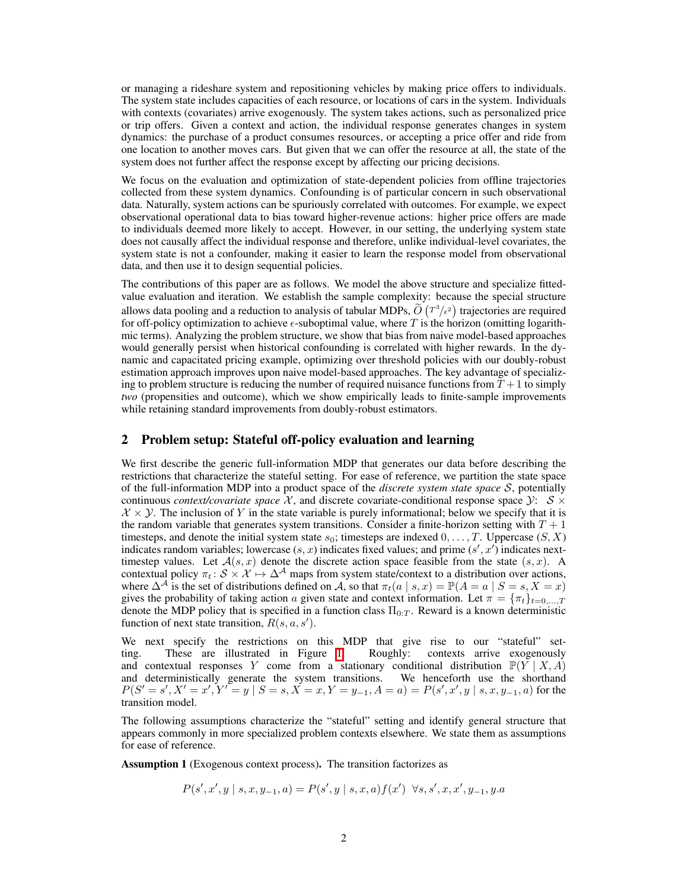or managing a rideshare system and repositioning vehicles by making price offers to individuals. The system state includes capacities of each resource, or locations of cars in the system. Individuals with contexts (covariates) arrive exogenously. The system takes actions, such as personalized price or trip offers. Given a context and action, the individual response generates changes in system dynamics: the purchase of a product consumes resources, or accepting a price offer and ride from one location to another moves cars. But given that we can offer the resource at all, the state of the system does not further affect the response except by affecting our pricing decisions.

We focus on the evaluation and optimization of state-dependent policies from offline trajectories collected from these system dynamics. Confounding is of particular concern in such observational data. Naturally, system actions can be spuriously correlated with outcomes. For example, we expect observational operational data to bias toward higher-revenue actions: higher price offers are made to individuals deemed more likely to accept. However, in our setting, the underlying system state does not causally affect the individual response and therefore, unlike individual-level covariates, the system state is not a confounder, making it easier to learn the response model from observational data, and then use it to design sequential policies.

The contributions of this paper are as follows. We model the above structure and specialize fittedvalue evaluation and iteration. We establish the sample complexity: because the special structure allows data pooling and a reduction to analysis of tabular MDPs,  $\tilde{O}(T^3/\epsilon^2)$  trajectories are required for off-policy optimization to achieve  $\epsilon$ -suboptimal value, where  $T$  is the horizon (omitting logarithmic terms). Analyzing the problem structure, we show that bias from naive model-based approaches would generally persist when historical confounding is correlated with higher rewards. In the dynamic and capacitated pricing example, optimizing over threshold policies with our doubly-robust estimation approach improves upon naive model-based approaches. The key advantage of specializing to problem structure is reducing the number of required nuisance functions from  $T+1$  to simply *two* (propensities and outcome), which we show empirically leads to finite-sample improvements while retaining standard improvements from doubly-robust estimators.

## 2 Problem setup: Stateful off-policy evaluation and learning

We first describe the generic full-information MDP that generates our data before describing the restrictions that characterize the stateful setting. For ease of reference, we partition the state space of the full-information MDP into a product space of the *discrete system state space S*, potentially continuous *context/covariate space*  $X$ , and discrete covariate-conditional response space  $Y: S \times$  $X \times Y$ . The inclusion of *Y* in the state variable is purely informational; below we specify that it is the random variable that generates system transitions. Consider a finite-horizon setting with  $T + 1$ timesteps, and denote the initial system state *s*0; timesteps are indexed 0*,...,T*. Uppercase (*S, X*) indicates random variables; lowercase  $(s, x)$  indicates fixed values; and prime  $(s', x')$  indicates nexttimestep values. Let  $A(s, x)$  denote the discrete action space feasible from the state  $(s, x)$ . A contextual policy  $\pi_t$ :  $S \times X \mapsto \Delta^{\mathcal{A}}$  maps from system state/context to a distribution over actions, where  $\Delta^{\mathcal{A}}$  is the set of distributions defined on  $\mathcal{A}$ , so that  $\pi_t(a \mid s, x) = \mathbb{P}(A = a \mid S = s, X = x)$ gives the probability of taking action *a* given state and context information. Let  $\pi = {\pi_t}_{t=0,...,T}$ denote the MDP policy that is specified in a function class  $\Pi_{0:T}$ . Reward is a known deterministic function of next state transition,  $R(s, a, s')$ .

We next specify the restrictions on this MDP that give rise to our "stateful" setting. These are illustrated in Figure  $\[\Pi\]$  Roughly: contexts arrive exogenously and contextual responses *Y* come from a stationary conditional distribution  $\mathbb{P}(Y | X, A)$ and deterministically generate the system transitions. We henceforth use the shorthand  $P(S' = s', X' = x', Y' = y | S = s, X = x, Y = y_{-1}, A = a) = P(s', x', y | s, x, y_{-1}, a)$  for the transition model.

The following assumptions characterize the "stateful" setting and identify general structure that appears commonly in more specialized problem contexts elsewhere. We state them as assumptions for ease of reference.

<span id="page-1-1"></span><span id="page-1-0"></span>Assumption 1 (Exogenous context process). The transition factorizes as

$$
P(s', x', y \mid s, x, y_{-1}, a) = P(s', y \mid s, x, a) f(x') \quad \forall s, s', x, x', y_{-1}, y. a
$$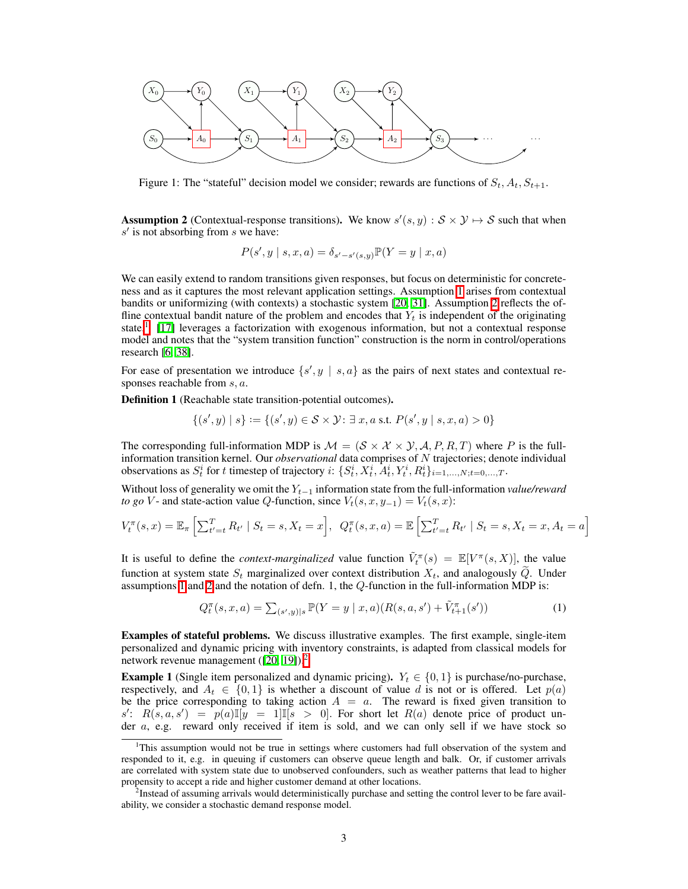<span id="page-2-0"></span>

Figure 1: The "stateful" decision model we consider; rewards are functions of  $S_t$ ,  $A_t$ ,  $S_{t+1}$ .

**Assumption 2** (Contextual-response transitions). We know  $s'(s, y) : S \times Y \mapsto S$  such that when *s*<sup> $\prime$ </sup> is not absorbing from *s* we have:

$$
P(s', y \mid s, x, a) = \delta_{s'-s'(s,y)} \mathbb{P}(Y = y \mid x, a)
$$

We can easily extend to random transitions given responses, but focus on deterministic for concreteness and as it captures the most relevant application settings. Assumption  $\prod$  arises from contextual bandits or uniformizing (with contexts) a stochastic system  $[20, 31]$  $[20, 31]$ . Assumption [2](#page-1-1) reflects the offline contextual bandit nature of the problem and encodes that  $Y_t$  is independent of the originating state.<sup>1</sup>  $\boxed{17}$  leverages a factorization with exogenous information, but not a contextual response model and notes that the "system transition function" construction is the norm in control/operations research [\[6,](#page-8-2) [38\]](#page-9-1).

For ease of presentation we introduce  $\{s', y \mid s, a\}$  as the pairs of next states and contextual responses reachable from *s, a*.

Definition 1 (Reachable state transition-potential outcomes).

$$
\{(s',y) \mid s\} := \{(s',y) \in S \times Y : \exists x, a \text{ s.t. } P(s',y \mid s,x,a) > 0\}
$$

The corresponding full-information MDP is  $M = (S \times X \times Y, A, P, R, T)$  where P is the fullinformation transition kernel. Our *observational* data comprises of *N* trajectories; denote individual observations as  $S_t^i$  for t timestep of trajectory i:  $\{S_t^i, X_t^i, A_t^i, Y_t^i, R_t^i\}_{i=1,\dots,N;t=0,\dots,T}$ .

Without loss of generality we omit the  $Y_{t-1}$  information state from the full-information *value/reward to go V* - and state-action value *Q*-function, since  $V_t(s, x, y_{-1}) = V_t(s, x)$ :

$$
V_t^{\pi}(s, x) = \mathbb{E}_{\pi} \left[ \sum_{t'=t}^T R_{t'} \mid S_t = s, X_t = x \right], \ Q_t^{\pi}(s, x, a) = \mathbb{E} \left[ \sum_{t'=t}^T R_{t'} \mid S_t = s, X_t = x, A_t = a \right]
$$

It is useful to define the *context-marginalized* value function  $\tilde{V}^{\pi}_t(s) = \mathbb{E}[V^{\pi}(s, X)]$ , the value function at system state  $S_t$  marginalized over context distribution  $X_t$ , and analogously  $\tilde{Q}$ . Under assumptions  $\Pi$  and  $\Pi$  and the notation of defn. [1](#page-1-0), the  $Q$ -function in the full-information MDP is:

$$
Q_t^{\pi}(s, x, a) = \sum_{(s', y)|s} \mathbb{P}(Y = y \mid x, a) (R(s, a, s') + \tilde{V}_{t+1}^{\pi}(s')) \tag{1}
$$

Examples of stateful problems. We discuss illustrative examples. The first example, single-item personalized and dynamic pricing with inventory constraints, is adapted from classical models for network revenue management  $([20, 19])$  $([20, 19])$  $([20, 19])$  $([20, 19])$ .

**Example 1** (Single item personalized and dynamic pricing).  $Y_t \in \{0, 1\}$  is purchase/no-purchase, respectively, and  $A_t \in \{0,1\}$  is whether a discount of value *d* is not or is offered. Let  $p(a)$ be the price corresponding to taking action  $A = a$ . The reward is fixed given transition to  $s'$ :  $R(s, a, s') = p(a) \mathbb{I}[y = 1] \mathbb{I}[s > 0]$ . For short let  $R(a)$  denote price of product under *a*, e.g. reward only received if item is sold, and we can only sell if we have stock so

<span id="page-2-1"></span><sup>&</sup>lt;sup>1</sup>This assumption would not be true in settings where customers had full observation of the system and responded to it, e.g. in queuing if customers can observe queue length and balk. Or, if customer arrivals are correlated with system state due to unobserved confounders, such as weather patterns that lead to higher propensity to accept a ride and higher customer demand at other locations.

<span id="page-2-2"></span><sup>&</sup>lt;sup>2</sup>Instead of assuming arrivals would deterministically purchase and setting the control lever to be fare availability, we consider a stochastic demand response model.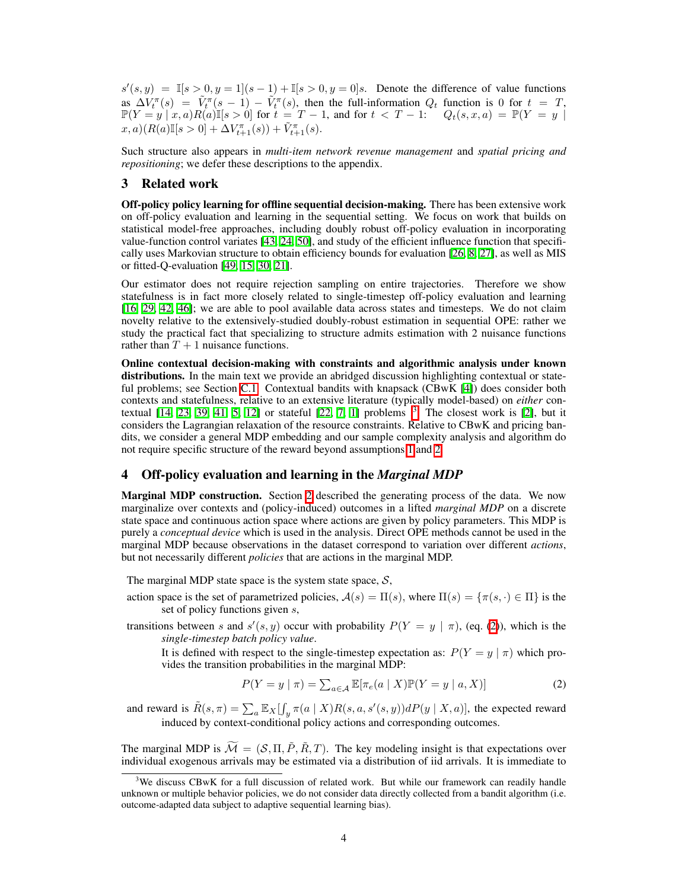$s'(s, y) = \mathbb{I}[s > 0, y = 1](s - 1) + \mathbb{I}[s > 0, y = 0]$ *s*. Denote the difference of value functions as  $\Delta V_t^{\pi}(s) = \tilde{V}_t^{\pi}(s-1) - \tilde{V}_t^{\pi}(s)$ , then the full-information  $Q_t$  function is 0 for  $t = T$ ,  $\mathbb{P}(Y = y | x, a) R(a) \mathbb{I}[s > 0]$  for  $t = T - 1$ , and for  $t < T - 1$ :  $Q_t(s, x, a) = \mathbb{P}(Y = y | x, a) P(x)$  $(x, a)(R(a)\mathbb{I}[s > 0] + \Delta V_{t+1}^{\pi}(s)) + \tilde{V}_{t+1}^{\pi}(s).$ 

Such structure also appears in *multi-item network revenue management* and *spatial pricing and repositioning*; we defer these descriptions to the appendix.

## 3 Related work

Off-policy policy learning for offline sequential decision-making. There has been extensive work on off-policy evaluation and learning in the sequential setting. We focus on work that builds on statistical model-free approaches, including doubly robust off-policy evaluation in incorporating value-function control variates  $[43, 24, 50]$  $[43, 24, 50]$  $[43, 24, 50]$ , and study of the efficient influence function that specifically uses Markovian structure to obtain efficiency bounds for evaluation  $[26, 8, 27]$  $[26, 8, 27]$  $[26, 8, 27]$ , as well as MIS or fitted-Q-evaluation  $[49, 15, 30, 21]$  $[49, 15, 30, 21]$  $[49, 15, 30, 21]$  $[49, 15, 30, 21]$ .

Our estimator does not require rejection sampling on entire trajectories. Therefore we show statefulness is in fact more closely related to single-timestep off-policy evaluation and learning [\[16,](#page-0-9) [29,](#page-0-10) [42,](#page-0-11) [46\]](#page-0-12); we are able to pool available data across states and timesteps. We do not claim novelty relative to the extensively-studied doubly-robust estimation in sequential OPE: rather we study the practical fact that specializing to structure admits estimation with 2 nuisance functions rather than  $T + 1$  nuisance functions.

Online contextual decision-making with constraints and algorithmic analysis under known distributions. In the main text we provide an abridged discussion highlighting contextual or stateful problems; see Section  $\overline{C.1}$ . Contextual bandits with knapsack  $(\overline{CBwK} \ \, \boxed{4})$  does consider both contexts and statefulness, relative to an extensive literature (typically model-based) on *either* contextual  $[14, 23, 39, 41, 5, 12]$  $[14, 23, 39, 41, 5, 12]$  $[14, 23, 39, 41, 5, 12]$  $[14, 23, 39, 41, 5, 12]$  $[14, 23, 39, 41, 5, 12]$  $[14, 23, 39, 41, 5, 12]$  or stateful  $[22, 7, 1]$  $[22, 7, 1]$  $[22, 7, 1]$  problems  $[3]$  $[3]$  $[3]$  The closest work is  $[2]$ , but it considers the Lagrangian relaxation of the resource constraints. Relative to CBwK and pricing bandits, we consider a general MDP embedding and our sample complexity analysis and algorithm do not require specific structure of the reward beyond assumptions  $\boxed{1}$  and  $\boxed{2}$ .

# 4 Off-policy evaluation and learning in the *Marginal MDP*

**Marginal MDP construction.** Section  $\boxed{2}$  described the generating process of the data. We now marginalize over contexts and (policy-induced) outcomes in a lifted *marginal MDP* on a discrete state space and continuous action space where actions are given by policy parameters. This MDP is purely a *conceptual device* which is used in the analysis. Direct OPE methods cannot be used in the marginal MDP because observations in the dataset correspond to variation over different *actions*, but not necessarily different *policies* that are actions in the marginal MDP.

The marginal MDP state space is the system state space, *S*,

- action space is the set of parametrized policies,  $A(s) = \Pi(s)$ , where  $\Pi(s) = \{\pi(s, \cdot) \in \Pi\}$  is the set of policy functions given *s*,
- transitions between *s* and  $s'(s, y)$  occur with probability  $P(Y = y | \pi)$ , (eq. [\(2\)](#page-0-29)), which is the *single-timestep batch policy value*.

It is defined with respect to the single-timestep expectation as:  $P(Y = y | \pi)$  which provides the transition probabilities in the marginal MDP:

$$
P(Y = y \mid \pi) = \sum_{a \in \mathcal{A}} \mathbb{E}[\pi_e(a \mid X)\mathbb{P}(Y = y \mid a, X)] \tag{2}
$$

and reward is  $\tilde{R}(s,\pi) = \sum_a \mathbb{E}_X \left[ \int_y \pi(a \mid X) R(s,a,s'(s,y)) dP(y \mid X,a) \right]$ , the expected reward induced by context-conditional policy actions and corresponding outcomes.

The marginal MDP is  $\widetilde{\mathcal{M}} = (\mathcal{S}, \Pi, \widetilde{P}, \widetilde{R}, T)$ . The key modeling insight is that expectations over individual exogenous arrivals may be estimated via a distribution of iid arrivals. It is immediate to

<sup>&</sup>lt;sup>3</sup>We discuss CBwK for a full discussion of related work. But while our framework can readily handle unknown or multiple behavior policies, we do not consider data directly collected from a bandit algorithm (i.e. outcome-adapted data subject to adaptive sequential learning bias).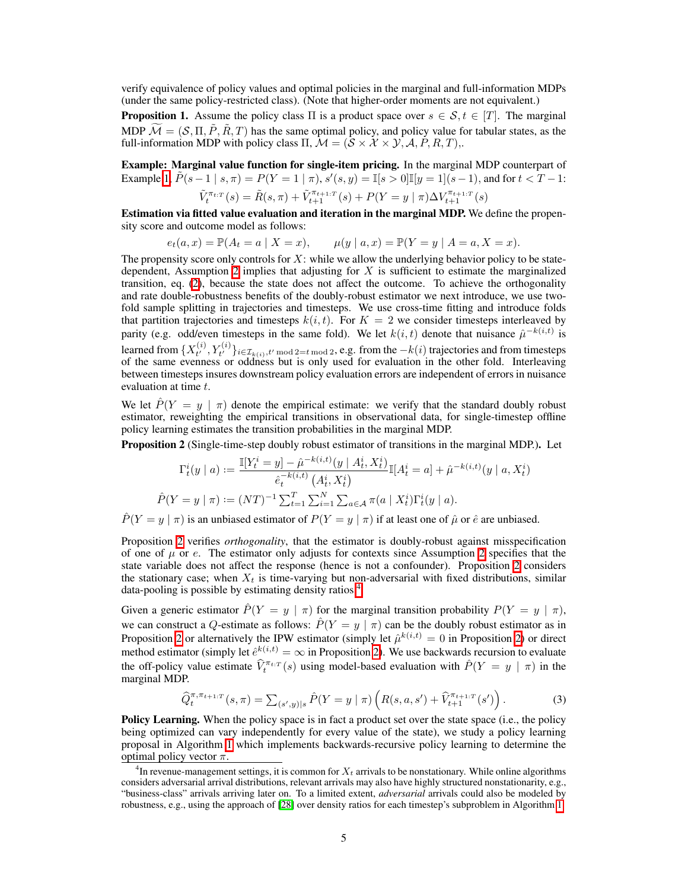verify equivalence of policy values and optimal policies in the marginal and full-information MDPs (under the same policy-restricted class). (Note that higher-order moments are not equivalent.)

**Proposition 1.** Assume the policy class  $\Pi$  is a product space over  $s \in S$ ,  $t \in [T]$ . The marginal MDP  $\widetilde{\mathcal{M}} = (\mathcal{S}, \Pi, \widetilde{P}, \widetilde{R}, T)$  has the same optimal policy, and policy value for tabular states, as the full-information MDP with policy class  $\Pi$ ,  $\mathcal{M} = (\mathcal{S} \times \mathcal{X} \times \mathcal{Y}, \mathcal{A}, P, R, T)$ ,

Example: Marginal value function for single-item pricing. In the marginal MDP counterpart of Example  $\boxed{\mathbf{l}}$ ,  $\tilde{P}(s-1 \mid s, \pi) = P(Y=1 \mid \pi), s'(s, y) = \mathbb{I}[s > 0] \mathbb{I}[y=1](s-1),$  and for  $t < T-1$ :

$$
\tilde{V}_t^{\pi_{t:T}}(s) = \tilde{R}(s,\pi) + \tilde{V}_{t+1}^{\pi_{t+1:T}}(s) + P(Y = y \mid \pi) \Delta V_{t+1}^{\pi_{t+1:T}}(s)
$$

Estimation via fitted value evaluation and iteration in the marginal MDP. We define the propensity score and outcome model as follows:

$$
e_t(a, x) = \mathbb{P}(A_t = a | X = x),
$$
  $\mu(y | a, x) = \mathbb{P}(Y = y | A = a, X = x).$ 

The propensity score only controls for *X*: while we allow the underlying behavior policy to be statedependent, Assumption  $\boxed{2}$  implies that adjusting for *X* is sufficient to estimate the marginalized transition, eq.  $(2)$ , because the state does not affect the outcome. To achieve the orthogonality and rate double-robustness benefits of the doubly-robust estimator we next introduce, we use twofold sample splitting in trajectories and timesteps. We use cross-time fitting and introduce folds that partition trajectories and timesteps  $k(i, t)$ . For  $K = 2$  we consider timesteps interleaved by parity (e.g. odd/even timesteps in the same fold). We let  $k(i, t)$  denote that nuisance  $\hat{\mu}^{-k(i, t)}$  is learned from  $\{X_{t'}^{(i)}, Y_{t'}^{(i)}\}_{i \in \mathcal{I}_{k(i)}, t' \text{ mod } 2 = t \text{ mod } 2}$ , e.g. from the  $-k(i)$  trajectories and from timesteps of the same evenness or oddness but is only used for evaluation in the other fold. Interleaving between timesteps insures downstream policy evaluation errors are independent of errors in nuisance evaluation at time *t*.

We let  $\hat{P}(Y = y \mid \pi)$  denote the empirical estimate: we verify that the standard doubly robust estimator, reweighting the empirical transitions in observational data, for single-timestep offline policy learning estimates the transition probabilities in the marginal MDP.

Proposition 2 (Single-time-step doubly robust estimator of transitions in the marginal MDP.). Let

$$
\Gamma_t^i(y \mid a) := \frac{\mathbb{I}[Y_t^i = y] - \hat{\mu}^{-k(i,t)}(y \mid A_t^i, X_t^i)}{\hat{e}_t^{-k(i,t)}(A_t^i, X_t^i)} \mathbb{I}[A_t^i = a] + \hat{\mu}^{-k(i,t)}(y \mid a, X_t^i)
$$

$$
\hat{P}(Y = y \mid \pi) := (NT)^{-1} \sum_{t=1}^T \sum_{i=1}^N \sum_{a \in \mathcal{A}} \pi(a \mid X_t^i) \Gamma_t^i(y \mid a).
$$

 $\hat{P}(Y = y | \pi)$  is an unbiased estimator of  $P(Y = y | \pi)$  if at least one of  $\hat{\mu}$  or  $\hat{e}$  are unbiased.

Proposition  $\boxed{2}$  verifies *orthogonality*, that the estimator is doubly-robust against misspecification of one of  $\mu$  or *e*. The estimator only adjusts for contexts since Assumption  $\Omega$  specifies that the state variable does not affect the response (hence is not a confounder). Proposition  $\boxed{2}$  considers the stationary case; when  $X_t$  is time-varying but non-adversarial with fixed distributions, similar data-pooling is possible by estimating density ratios $\frac{1}{4}$ 

Given a generic estimator  $\hat{P}(Y = y \mid \pi)$  for the marginal transition probability  $P(Y = y \mid \pi)$ , we can construct a *Q*-estimate as follows:  $\hat{P}(Y = y | \pi)$  can be the doubly robust estimator as in Proposition [2](#page-0-31) or alternatively the IPW estimator (simply let  $\hat{\mu}^{k(i,t)} = 0$  in Proposition [2\)](#page-0-31) or direct method estimator (simply let  $\hat{e}^{k(i,t)} = \infty$  in Proposition [2\)](#page-0-31). We use backwards recursion to evaluate the off-policy value estimate  $\hat{V}^{\pi_{t:T}}_t(s)$  using model-based evaluation with  $\hat{P}(Y = y \mid \pi)$  in the marginal MDP.

$$
\widehat{Q}_t^{\pi, \pi_{t+1}:T}(s, \pi) = \sum_{(s',y)|s} \widehat{P}(Y = y \mid \pi) \left( R(s, a, s') + \widehat{V}_{t+1}^{\pi_{t+1}:T}(s') \right). \tag{3}
$$

**Policy Learning.** When the policy space is in fact a product set over the state space (i.e., the policy being optimized can vary independently for every value of the state), we study a policy learning proposal in Algorithm  $\boxed{1}$  which implements backwards-recursive policy learning to determine the optimal policy vector  $\pi$ .

<sup>4</sup> In revenue-management settings, it is common for *X<sup>t</sup>* arrivals to be nonstationary. While online algorithms considers adversarial arrival distributions, relevant arrivals may also have highly structured nonstationarity, e.g., "business-class" arrivals arriving later on. To a limited extent, *adversarial* arrivals could also be modeled by robustness, e.g., using the approach of  $[28]$  over density ratios for each timestep's subproblem in Algorithm  $[1]$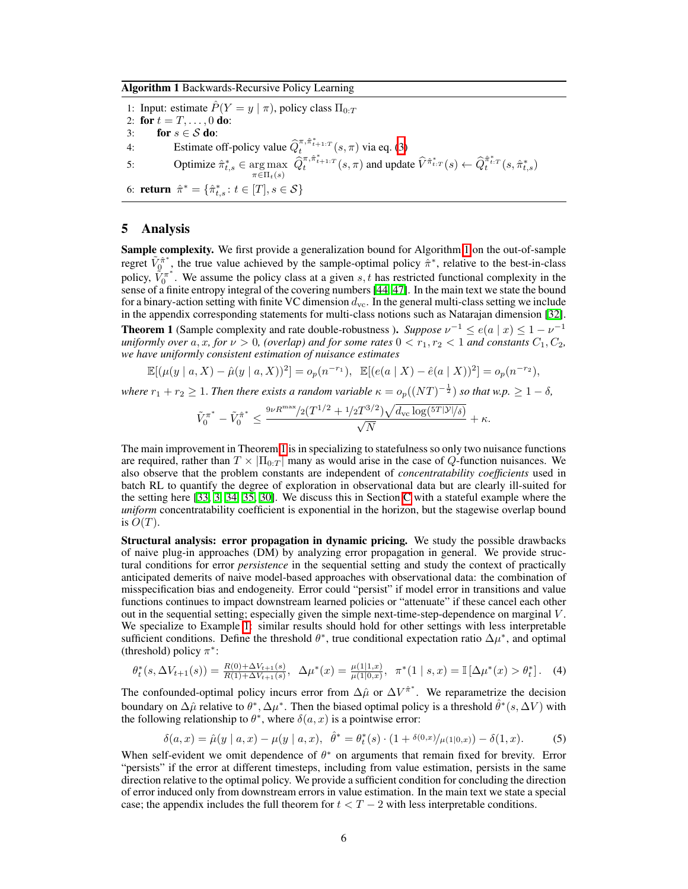Algorithm 1 Backwards-Recursive Policy Learning

1: Input: estimate  $\hat{P}(Y = y | \pi)$ , policy class  $\Pi_{0:T}$ 2: for  $t = T, ..., 0$  do: 3: **for**  $s \in S$  **do:**<br>4: **Estimate of** 4: Estimate off-policy value  $\hat{Q}_t^{\pi, \hat{\pi}_{t+1:T}^*}(s, \pi)$  via eq. [\(3\)](#page-0-35) 5: Optimize  $\hat{\pi}_{t,s}^* \in \underset{\pi \in \Pi_t(s)}{\arg \max} \ \hat{Q}_t^{\pi, \hat{\pi}_{t+1:T}^*}(s, \pi)$  and update  $\hat{V}^{\hat{\pi}_{t:T}^*}(s) \leftarrow \hat{Q}_t^{\hat{\pi}_{t:T}^*}(s, \hat{\pi}_{t,s}^*)$ 6: **return**  $\hat{\pi}^* = {\hat{\pi}_{t,s}^* : t \in [T], s \in S}$ 

#### 5 Analysis

**Sample complexity.** We first provide a generalization bound for Algorithm  $\frac{1}{\alpha}$  on the out-of-sample regret  $\tilde{V}_0^{\hat{\pi}^*}$ , the true value achieved by the sample-optimal policy  $\hat{\pi}^*$ , relative to the best-in-class policy,  $\tilde{V}_0^{\pi^*}$ . We assume the policy class at a given *s*, *t* has restricted functional complexity in the sense of a finite entropy integral of the covering numbers  $[44, 47]$  $[44, 47]$ . In the main text we state the bound for a binary-action setting with finite VC dimension  $d_{\text{vc}}$ . In the general multi-class setting we include in the appendix corresponding statements for multi-class notions such as Natarajan dimension [\[32\]](#page-0-38). **Theorem 1** (Sample complexity and rate double-robustness). Suppose  $\nu^{-1} \le e(a \mid x) \le 1 - \nu^{-1}$ *uniformly over*  $a, x,$  *for*  $\nu > 0$ , (overlap) and for some rates  $0 < r_1, r_2 < 1$  and constants  $C_1, C_2$ , *we have uniformly consistent estimation of nuisance estimates*

$$
\mathbb{E}[(\mu(y \mid a, X) - \hat{\mu}(y \mid a, X))^2] = o_p(n^{-r_1}), \mathbb{E}[(e(a \mid X) - \hat{e}(a \mid X))^2] = o_p(n^{-r_2}),
$$

*where*  $r_1 + r_2 \geq 1$ . *Then there exists a random variable*  $\kappa = o_p((NT)^{-\frac{1}{2}})$  *so that*  $w.p. \geq 1 - \delta$ ,

$$
\tilde{V}_0^{\pi^*} - \tilde{V}_0^{\hat{\pi}^*} \leq \frac{^{9\nu R^{\max}/2} (T^{1/2} + {^{1\!}/2}T^{3/2}) \sqrt{d_{\text{vc}} \log({^{5T}|\mathcal{Y}|}/{\delta})}}{\sqrt{N}} + \kappa.
$$

The main improvement in Theorem  $\prod$  is in specializing to statefulness so only two nuisance functions are required, rather than  $T \times |\Pi_{0:T}|$  many as would arise in the case of *Q*-function nuisances. We also observe that the problem constants are independent of *concentratability coefficients* used in batch RL to quantify the degree of exploration in observational data but are clearly ill-suited for the setting here  $[33, 3, 34, 35, 30]$  $[33, 3, 34, 35, 30]$  $[33, 3, 34, 35, 30]$  $[33, 3, 34, 35, 30]$  $[33, 3, 34, 35, 30]$ . We discuss this in Section [C](#page-0-44) with a stateful example where the *uniform* concentratability coefficient is exponential in the horizon, but the stagewise overlap bound is  $O(T)$ .

Structural analysis: error propagation in dynamic pricing. We study the possible drawbacks of naive plug-in approaches (DM) by analyzing error propagation in general. We provide structural conditions for error *persistence* in the sequential setting and study the context of practically anticipated demerits of naive model-based approaches with observational data: the combination of misspecification bias and endogeneity. Error could "persist" if model error in transitions and value functions continues to impact downstream learned policies or "attenuate" if these cancel each other out in the sequential setting; especially given the simple next-time-step-dependence on marginal *V* . We specialize to Example  $\prod$  similar results should hold for other settings with less interpretable sufficient conditions. Define the threshold  $\theta^*$ , true conditional expectation ratio  $\Delta \mu^*$ , and optimal (threshold) policy  $\pi^*$ :

$$
\theta_t^*(s, \Delta V_{t+1}(s)) = \frac{R(0) + \Delta V_{t+1}(s)}{R(1) + \Delta V_{t+1}(s)}, \quad \Delta \mu^*(x) = \frac{\mu(1|1, x)}{\mu(1|0, x)}, \quad \pi^*(1 \mid s, x) = \mathbb{I}\left[\Delta \mu^*(x) > \theta_t^*\right].\tag{4}
$$

The confounded-optimal policy incurs error from  $\Delta \hat{\mu}$  or  $\Delta V^{\hat{\pi}^*}$ . We reparametrize the decision boundary on  $\Delta \hat{\mu}$  relative to  $\theta^*, \Delta \mu^*$ . Then the biased optimal policy is a threshold  $\hat{\theta}^*(s, \Delta V)$  with the following relationship to  $\theta^*$ , where  $\delta(a, x)$  is a pointwise error:

$$
\delta(a,x) = \hat{\mu}(y \mid a,x) - \mu(y \mid a,x), \quad \hat{\theta}^* = \theta_t^*(s) \cdot (1 + \delta(0,x) / \mu(1|0,x)) - \delta(1,x). \tag{5}
$$

When self-evident we omit dependence of  $\theta^*$  on arguments that remain fixed for brevity. Error "persists" if the error at different timesteps, including from value estimation, persists in the same direction relative to the optimal policy. We provide a sufficient condition for concluding the direction of error induced only from downstream errors in value estimation. In the main text we state a special case; the appendix includes the full theorem for  $t < T - 2$  with less interpretable conditions.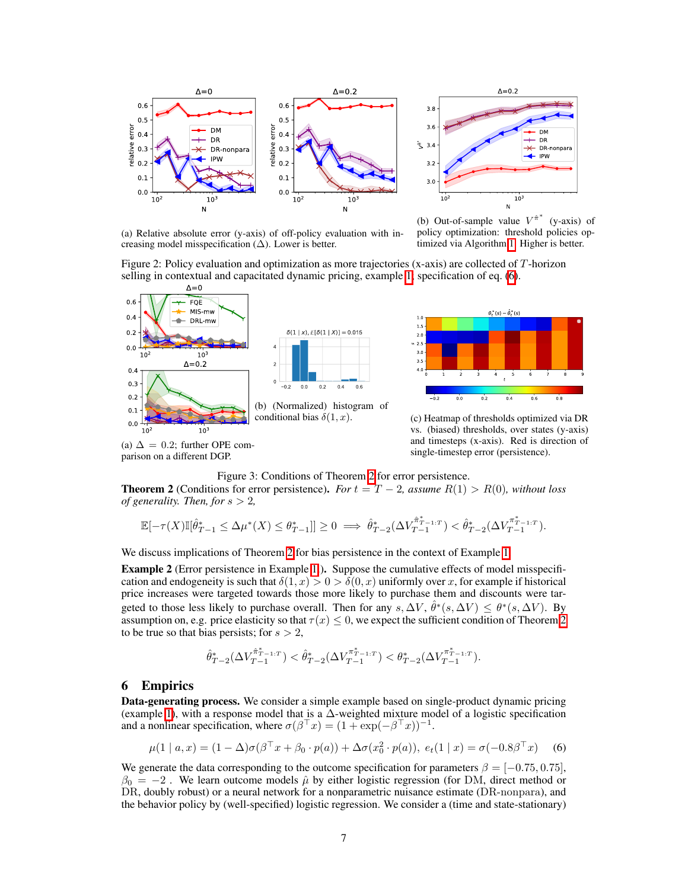

 $\Delta = 0.2$  $3.8$  $\overline{3}$ **DM DR**  $\frac{1}{5}$  34 DR nonpara **PW** ∸  $3.2$  $3.0$  $10^{3}$  $10^{\circ}$  $\overline{N}$ 

(a) Relative absolute error (y-axis) of off-policy evaluation with increasing model misspecification  $(\Delta)$ . Lower is better.

(b) Out-of-sample value  $V^{\hat{\pi}^*}$  (y-axis) of policy optimization: threshold policies optimized via Algorithm  $\boxed{1}$  Higher is better.

Figure 2: Policy evaluation and optimization as more trajectories (x-axis) are collected of *T*-horizon selling in contextual and capacitated dynamic pricing, example  $\prod$  specification of eq.  $(6)$ .





conditional bias  $\delta(1, x)$ . (c) Heatmap of thresholds optimized via DR vs. (biased) thresholds, over states (y-axis) and timesteps (x-axis). Red is direction of single-timestep error (persistence).

Figure 3: Conditions of Theorem  $2$  for error persistence.

**Theorem 2** (Conditions for error persistence). For  $t = T - 2$ , assume  $R(1) > R(0)$ , without loss *of generality. Then, for*  $s > 2$ ,

$$
\mathbb{E}[-\tau(X)\mathbb{I}[\hat{\theta}^*_{T-1} \leq \Delta \mu^*(X) \leq \theta^*_{T-1}]] \geq 0 \implies \hat{\theta}^*_{T-2}(\Delta V^{\hat{\pi}^*_{T-1:T}}_{T-1}) < \hat{\theta}^*_{T-2}(\Delta V^{\pi^*_{T-1:T}}_{T-1}).
$$

We discuss implications of Theorem  $\sqrt{2}$  for bias persistence in the context of Example  $\sqrt{1}$ .

**Example 2** (Error persistence in Example  $\begin{bmatrix} 1 \end{bmatrix}$ ). Suppose the cumulative effects of model misspecification and endogeneity is such that  $\delta(1, x) > 0 > \delta(0, x)$  uniformly over *x*, for example if historical price increases were targeted towards those more likely to purchase them and discounts were targeted to those less likely to purchase overall. Then for any  $s, \Delta V, \hat{\theta}^*(s, \Delta V) \leq \theta^*(s, \Delta V)$ . By assumption on, e.g. price elasticity so that  $\tau(x) \leq 0$ , we expect the sufficient condition of Theorem [2](#page-0-46) to be true so that bias persists; for *s >* 2,

$$
\hat{\theta}_{T-2}^*(\Delta V^{\hat{\pi}_{T-1:T}}_{T-1}) < \hat{\theta}_{T-2}^*(\Delta V^{\pi_{T-1:T}}_{T-1}) < \theta_{T-2}^*(\Delta V^{\pi_{T-1:T}}_{T-1}).
$$

#### 6 Empirics

parison on a different DGP.

Data-generating process. We consider a simple example based on single-product dynamic pricing (example  $\Pi$ ), with a response model that is a  $\Delta$ -weighted mixture model of a logistic specification and a nonlinear specification, where  $\sigma(\beta^\top x) = (1 + \exp(-\beta^\top x))^{-1}$ .

$$
\mu(1 \mid a, x) = (1 - \Delta)\sigma(\beta^{\top} x + \beta_0 \cdot p(a)) + \Delta\sigma(x_0^2 \cdot p(a)), \ e_t(1 \mid x) = \sigma(-0.8\beta^{\top} x) \tag{6}
$$

We generate the data corresponding to the outcome specification for parameters  $\beta = [-0.75, 0.75]$ ,  $\beta_0 = -2$ . We learn outcome models  $\hat{\mu}$  by either logistic regression (for DM, direct method or DR, doubly robust) or a neural network for a nonparametric nuisance estimate (DR-nonpara), and the behavior policy by (well-specified) logistic regression. We consider a (time and state-stationary)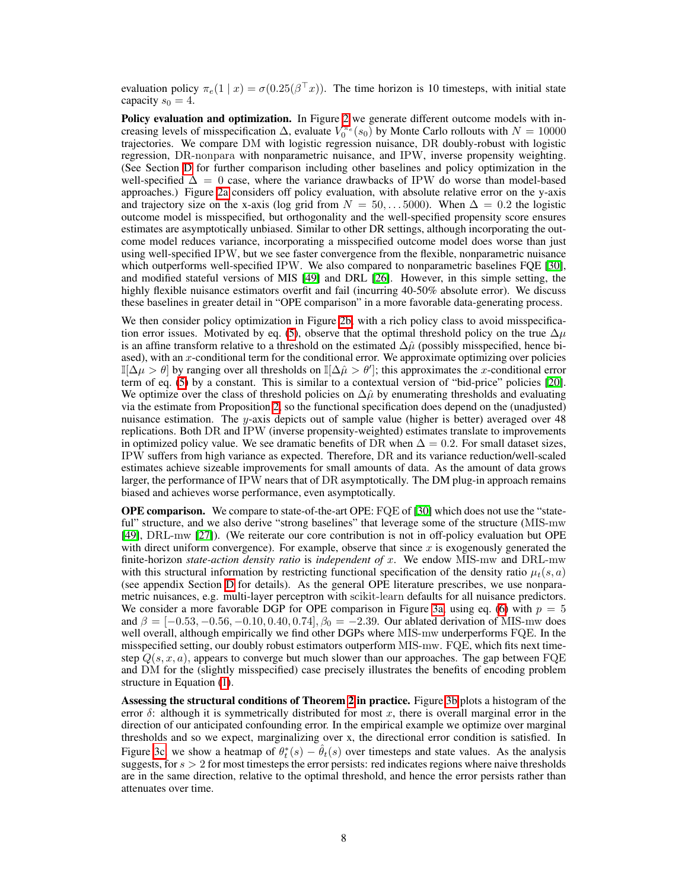evaluation policy  $\pi_e(1 \mid x) = \sigma(0.25(\beta^T x))$ . The time horizon is 10 timesteps, with initial state capacity  $s_0 = 4$ .

**Policy evaluation and optimization.** In Figure  $\overline{2}$  we generate different outcome models with increasing levels of misspecification  $\Delta$ , evaluate  $V_0^{\pi_e}(s_0)$  by Monte Carlo rollouts with  $N = 10000$ trajectories. We compare DM with logistic regression nuisance, DR doubly-robust with logistic regression, DR-nonpara with nonparametric nuisance, and IPW, inverse propensity weighting. (See Section  $\overline{D}$  for further comparison including other baselines and policy optimization in the well-specified  $\Delta = 0$  case, where the variance drawbacks of IPW do worse than model-based approaches.) Figure  $\sqrt{2a}$  considers off policy evaluation, with absolute relative error on the y-axis and trajectory size on the x-axis (log grid from  $N = 50, \ldots, 5000$ ). When  $\Delta = 0.2$  the logistic outcome model is misspecified, but orthogonality and the well-specified propensity score ensures estimates are asymptotically unbiased. Similar to other DR settings, although incorporating the outcome model reduces variance, incorporating a misspecified outcome model does worse than just using well-specified IPW, but we see faster convergence from the flexible, nonparametric nuisance which outperforms well-specified IPW. We also compared to nonparametric baselines FQE [\[30\]](#page-0-7), and modified stateful versions of MIS  $[49]$  and DRL  $[26]$ . However, in this simple setting, the highly flexible nuisance estimators overfit and fail (incurring 40-50% absolute error). We discuss these baselines in greater detail in "OPE comparison" in a more favorable data-generating process.

We then consider policy optimization in Figure  $2b$ , with a rich policy class to avoid misspecifica-tion error issues. Motivated by eq. [\(5\)](#page-0-48), observe that the optimal threshold policy on the true  $\Delta \mu$ is an affine transform relative to a threshold on the estimated  $\Delta \hat{\mu}$  (possibly misspecified, hence biased), with an *x*-conditional term for the conditional error. We approximate optimizing over policies  $\mathbb{I}[\Delta\mu > \theta]$  by ranging over all thresholds on  $\mathbb{I}[\Delta\hat{\mu} > \theta']$ ; this approximates the *x*-conditional error term of eq.  $(5)$  by a constant. This is similar to a contextual version of "bid-price" policies  $[20]$ . We optimize over the class of threshold policies on  $\Delta \hat{\mu}$  by enumerating thresholds and evaluating via the estimate from Proposition  $\sqrt{2}$ , so the functional specification does depend on the (unadjusted) nuisance estimation. The *y*-axis depicts out of sample value (higher is better) averaged over 48 replications. Both DR and IPW (inverse propensity-weighted) estimates translate to improvements in optimized policy value. We see dramatic benefits of DR when  $\Delta = 0.2$ . For small dataset sizes, IPW suffers from high variance as expected. Therefore, DR and its variance reduction/well-scaled estimates achieve sizeable improvements for small amounts of data. As the amount of data grows larger, the performance of IPW nears that of DR asymptotically. The DM plug-in approach remains biased and achieves worse performance, even asymptotically.

**OPE comparison.** We compare to state-of-the-art OPE: FQE of [\[30\]](#page-0-7) which does not use the "stateful" structure, and we also derive "strong baselines" that leverage some of the structure (MIS-mw [\[49\]](#page-0-1), DRL-mw [\[27\]](#page-0-5)). (We reiterate our core contribution is not in off-policy evaluation but OPE with direct uniform convergence). For example, observe that since *x* is exogenously generated the finite-horizon *state-action density ratio* is *independent of x*. We endow MIS-mw and DRL-mw with this structural information by restricting functional specification of the density ratio  $\mu_t(s, a)$ (see appendix Section  $\overline{D}$  for details). As the general OPE literature prescribes, we use nonparametric nuisances, e.g. multi-layer perceptron with scikit-learn defaults for all nuisance predictors. We consider a more favorable DGP for OPE comparison in Figure  $\overline{3a}$ , using eq. [\(6\)](#page-0-45) with  $p = 5$ and  $\beta = [-0.53, -0.56, -0.10, 0.40, 0.74], \beta_0 = -2.39$ . Our ablated derivation of MIS-mw does well overall, although empirically we find other DGPs where MIS-mw underperforms FQE. In the misspecified setting, our doubly robust estimators outperform MIS-mw. FQE, which fits next timestep *Q*(*s, x, a*)*,* appears to converge but much slower than our approaches. The gap between FQE and DM for the (slightly misspecified) case precisely illustrates the benefits of encoding problem structure in Equation  $(1)$ .

Assessing the structural conditions of Theorem  $2$  in practice. Figure  $3b$  plots a histogram of the error  $\delta$ : although it is symmetrically distributed for most x, there is overall marginal error in the direction of our anticipated confounding error. In the empirical example we optimize over marginal thresholds and so we expect, marginalizing over x, the directional error condition is satisfied. In Figure  $3c$ , we show a heatmap of  $\theta_t^*(s) - \hat{\theta}_t(s)$  over timesteps and state values. As the analysis suggests, for *s >* 2 for most timesteps the error persists: red indicates regions where naive thresholds are in the same direction, relative to the optimal threshold, and hence the error persists rather than attenuates over time.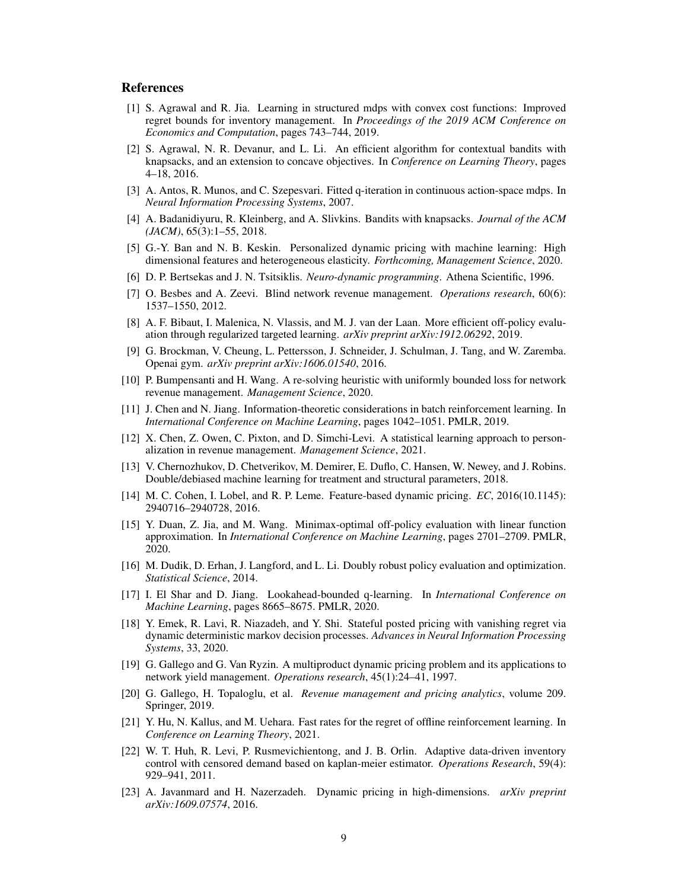#### References

- [1] S. Agrawal and R. Jia. Learning in structured mdps with convex cost functions: Improved regret bounds for inventory management. In *Proceedings of the 2019 ACM Conference on Economics and Computation*, pages 743–744, 2019.
- [2] S. Agrawal, N. R. Devanur, and L. Li. An efficient algorithm for contextual bandits with knapsacks, and an extension to concave objectives. In *Conference on Learning Theory*, pages 4–18, 2016.
- [3] A. Antos, R. Munos, and C. Szepesvari. Fitted q-iteration in continuous action-space mdps. In *Neural Information Processing Systems*, 2007.
- [4] A. Badanidiyuru, R. Kleinberg, and A. Slivkins. Bandits with knapsacks. *Journal of the ACM (JACM)*, 65(3):1–55, 2018.
- [5] G.-Y. Ban and N. B. Keskin. Personalized dynamic pricing with machine learning: High dimensional features and heterogeneous elasticity. *Forthcoming, Management Science*, 2020.
- <span id="page-8-2"></span>[6] D. P. Bertsekas and J. N. Tsitsiklis. *Neuro-dynamic programming*. Athena Scientific, 1996.
- [7] O. Besbes and A. Zeevi. Blind network revenue management. *Operations research*, 60(6): 1537–1550, 2012.
- [8] A. F. Bibaut, I. Malenica, N. Vlassis, and M. J. van der Laan. More efficient off-policy evaluation through regularized targeted learning. *arXiv preprint arXiv:1912.06292*, 2019.
- [9] G. Brockman, V. Cheung, L. Pettersson, J. Schneider, J. Schulman, J. Tang, and W. Zaremba. Openai gym. *arXiv preprint arXiv:1606.01540*, 2016.
- [10] P. Bumpensanti and H. Wang. A re-solving heuristic with uniformly bounded loss for network revenue management. *Management Science*, 2020.
- [11] J. Chen and N. Jiang. Information-theoretic considerations in batch reinforcement learning. In *International Conference on Machine Learning*, pages 1042–1051. PMLR, 2019.
- [12] X. Chen, Z. Owen, C. Pixton, and D. Simchi-Levi. A statistical learning approach to personalization in revenue management. *Management Science*, 2021.
- [13] V. Chernozhukov, D. Chetverikov, M. Demirer, E. Duflo, C. Hansen, W. Newey, and J. Robins. Double/debiased machine learning for treatment and structural parameters, 2018.
- [14] M. C. Cohen, I. Lobel, and R. P. Leme. Feature-based dynamic pricing. *EC*, 2016(10.1145): 2940716–2940728, 2016.
- [15] Y. Duan, Z. Jia, and M. Wang. Minimax-optimal off-policy evaluation with linear function approximation. In *International Conference on Machine Learning*, pages 2701–2709. PMLR, 2020.
- [16] M. Dudik, D. Erhan, J. Langford, and L. Li. Doubly robust policy evaluation and optimization. *Statistical Science*, 2014.
- <span id="page-8-1"></span>[17] I. El Shar and D. Jiang. Lookahead-bounded q-learning. In *International Conference on Machine Learning*, pages 8665–8675. PMLR, 2020.
- [18] Y. Emek, R. Lavi, R. Niazadeh, and Y. Shi. Stateful posted pricing with vanishing regret via dynamic deterministic markov decision processes. *Advances in Neural Information Processing Systems*, 33, 2020.
- <span id="page-8-3"></span>[19] G. Gallego and G. Van Ryzin. A multiproduct dynamic pricing problem and its applications to network yield management. *Operations research*, 45(1):24–41, 1997.
- <span id="page-8-0"></span>[20] G. Gallego, H. Topaloglu, et al. *Revenue management and pricing analytics*, volume 209. Springer, 2019.
- [21] Y. Hu, N. Kallus, and M. Uehara. Fast rates for the regret of offline reinforcement learning. In *Conference on Learning Theory*, 2021.
- [22] W. T. Huh, R. Levi, P. Rusmevichientong, and J. B. Orlin. Adaptive data-driven inventory control with censored demand based on kaplan-meier estimator. *Operations Research*, 59(4): 929–941, 2011.
- [23] A. Javanmard and H. Nazerzadeh. Dynamic pricing in high-dimensions. *arXiv preprint arXiv:1609.07574*, 2016.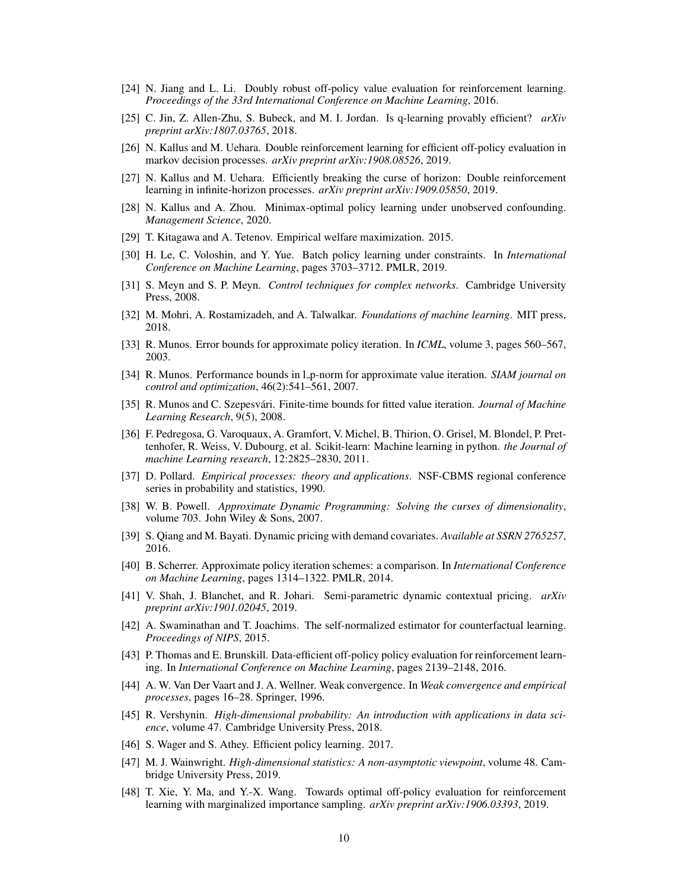- [24] N. Jiang and L. Li. Doubly robust off-policy value evaluation for reinforcement learning. *Proceedings of the 33rd International Conference on Machine Learning*, 2016.
- [25] C. Jin, Z. Allen-Zhu, S. Bubeck, and M. I. Jordan. Is q-learning provably efficient? *arXiv preprint arXiv:1807.03765*, 2018.
- [26] N. Kallus and M. Uehara. Double reinforcement learning for efficient off-policy evaluation in markov decision processes. *arXiv preprint arXiv:1908.08526*, 2019.
- [27] N. Kallus and M. Uehara. Efficiently breaking the curse of horizon: Double reinforcement learning in infinite-horizon processes. *arXiv preprint arXiv:1909.05850*, 2019.
- [28] N. Kallus and A. Zhou. Minimax-optimal policy learning under unobserved confounding. *Management Science*, 2020.
- [29] T. Kitagawa and A. Tetenov. Empirical welfare maximization. 2015.
- [30] H. Le, C. Voloshin, and Y. Yue. Batch policy learning under constraints. In *International Conference on Machine Learning*, pages 3703–3712. PMLR, 2019.
- <span id="page-9-0"></span>[31] S. Meyn and S. P. Meyn. *Control techniques for complex networks*. Cambridge University Press, 2008.
- [32] M. Mohri, A. Rostamizadeh, and A. Talwalkar. *Foundations of machine learning*. MIT press, 2018.
- [33] R. Munos. Error bounds for approximate policy iteration. In *ICML*, volume 3, pages 560–567, 2003.
- [34] R. Munos. Performance bounds in l p-norm for approximate value iteration. *SIAM journal on control and optimization*, 46(2):541–561, 2007.
- [35] R. Munos and C. Szepesvári. Finite-time bounds for fitted value iteration. *Journal of Machine Learning Research*, 9(5), 2008.
- [36] F. Pedregosa, G. Varoquaux, A. Gramfort, V. Michel, B. Thirion, O. Grisel, M. Blondel, P. Prettenhofer, R. Weiss, V. Dubourg, et al. Scikit-learn: Machine learning in python. *the Journal of machine Learning research*, 12:2825–2830, 2011.
- [37] D. Pollard. *Empirical processes: theory and applications*. NSF-CBMS regional conference series in probability and statistics, 1990.
- <span id="page-9-1"></span>[38] W. B. Powell. *Approximate Dynamic Programming: Solving the curses of dimensionality*, volume 703. John Wiley & Sons, 2007.
- [39] S. Qiang and M. Bayati. Dynamic pricing with demand covariates. *Available at SSRN 2765257*, 2016.
- [40] B. Scherrer. Approximate policy iteration schemes: a comparison. In *International Conference on Machine Learning*, pages 1314–1322. PMLR, 2014.
- [41] V. Shah, J. Blanchet, and R. Johari. Semi-parametric dynamic contextual pricing. *arXiv preprint arXiv:1901.02045*, 2019.
- [42] A. Swaminathan and T. Joachims. The self-normalized estimator for counterfactual learning. *Proceedings of NIPS*, 2015.
- [43] P. Thomas and E. Brunskill. Data-efficient off-policy policy evaluation for reinforcement learning. In *International Conference on Machine Learning*, pages 2139–2148, 2016.
- [44] A. W. Van Der Vaart and J. A. Wellner. Weak convergence. In *Weak convergence and empirical processes*, pages 16–28. Springer, 1996.
- [45] R. Vershynin. *High-dimensional probability: An introduction with applications in data science*, volume 47. Cambridge University Press, 2018.
- [46] S. Wager and S. Athey. Efficient policy learning. 2017.
- [47] M. J. Wainwright. *High-dimensional statistics: A non-asymptotic viewpoint*, volume 48. Cambridge University Press, 2019.
- [48] T. Xie, Y. Ma, and Y.-X. Wang. Towards optimal off-policy evaluation for reinforcement learning with marginalized importance sampling. *arXiv preprint arXiv:1906.03393*, 2019.